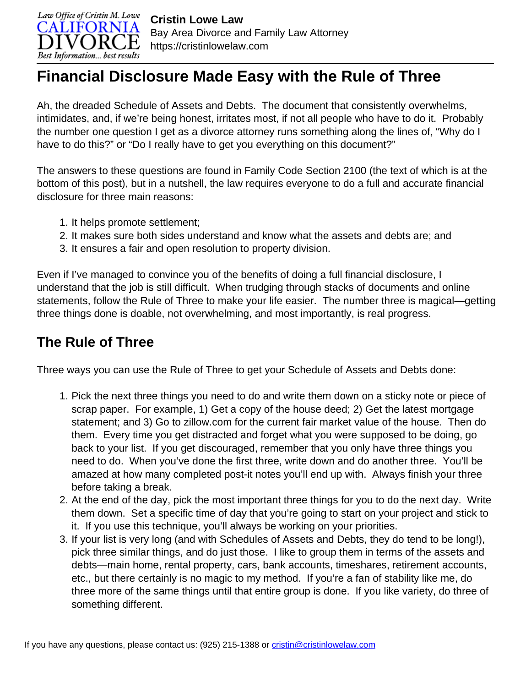

## **Financial Disclosure Made Easy with the Rule of Three**

Ah, the dreaded Schedule of Assets and Debts. The document that consistently overwhelms, intimidates, and, if we're being honest, irritates most, if not all people who have to do it. Probably the number one question I get as a divorce attorney runs something along the lines of, "Why do I have to do this?" or "Do I really have to get you everything on this document?"

The answers to these questions are found in Family Code Section 2100 (the text of which is at the bottom of this post), but in a nutshell, the law requires everyone to do a full and accurate financial disclosure for three main reasons:

- 1. It helps promote settlement;
- 2. It makes sure both sides understand and know what the assets and debts are; and
- 3. It ensures a fair and open resolution to property division.

Even if I've managed to convince you of the benefits of doing a full financial disclosure, I understand that the job is still difficult. When trudging through stacks of documents and online statements, follow the Rule of Three to make your life easier. The number three is magical—getting three things done is doable, not overwhelming, and most importantly, is real progress.

## **The Rule of Three**

Three ways you can use the Rule of Three to get your Schedule of Assets and Debts done:

- 1. Pick the next three things you need to do and write them down on a sticky note or piece of scrap paper. For example, 1) Get a copy of the house deed; 2) Get the latest mortgage statement; and 3) Go to zillow.com for the current fair market value of the house. Then do them. Every time you get distracted and forget what you were supposed to be doing, go back to your list. If you get discouraged, remember that you only have three things you need to do. When you've done the first three, write down and do another three. You'll be amazed at how many completed post-it notes you'll end up with. Always finish your three before taking a break.
- 2. At the end of the day, pick the most important three things for you to do the next day. Write them down. Set a specific time of day that you're going to start on your project and stick to it. If you use this technique, you'll always be working on your priorities.
- 3. If your list is very long (and with Schedules of Assets and Debts, they do tend to be long!), pick three similar things, and do just those. I like to group them in terms of the assets and debts—main home, rental property, cars, bank accounts, timeshares, retirement accounts, etc., but there certainly is no magic to my method. If you're a fan of stability like me, do three more of the same things until that entire group is done. If you like variety, do three of something different.